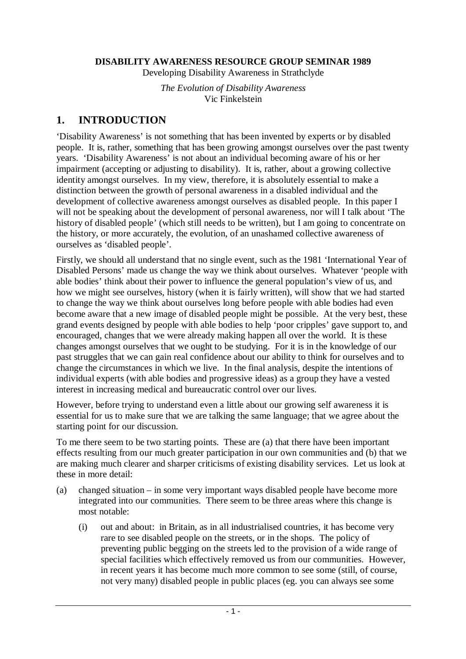#### **DISABILITY AWARENESS RESOURCE GROUP SEMINAR 1989**

Developing Disability Awareness in Strathclyde

*The Evolution of Disability Awareness*  Vic Finkelstein

#### **1. INTRODUCTION**

'Disability Awareness' is not something that has been invented by experts or by disabled people. It is, rather, something that has been growing amongst ourselves over the past twenty years. 'Disability Awareness' is not about an individual becoming aware of his or her impairment (accepting or adjusting to disability). It is, rather, about a growing collective identity amongst ourselves. In my view, therefore, it is absolutely essential to make a distinction between the growth of personal awareness in a disabled individual and the development of collective awareness amongst ourselves as disabled people. In this paper I will not be speaking about the development of personal awareness, nor will I talk about 'The history of disabled people' (which still needs to be written), but I am going to concentrate on the history, or more accurately, the evolution, of an unashamed collective awareness of ourselves as 'disabled people'.

Firstly, we should all understand that no single event, such as the 1981 'International Year of Disabled Persons' made us change the way we think about ourselves. Whatever 'people with able bodies' think about their power to influence the general population's view of us, and how we might see ourselves, history (when it is fairly written), will show that we had started to change the way we think about ourselves long before people with able bodies had even become aware that a new image of disabled people might be possible. At the very best, these grand events designed by people with able bodies to help 'poor cripples' gave support to, and encouraged, changes that we were already making happen all over the world. It is these changes amongst ourselves that we ought to be studying. For it is in the knowledge of our past struggles that we can gain real confidence about our ability to think for ourselves and to change the circumstances in which we live. In the final analysis, despite the intentions of individual experts (with able bodies and progressive ideas) as a group they have a vested interest in increasing medical and bureaucratic control over our lives.

However, before trying to understand even a little about our growing self awareness it is essential for us to make sure that we are talking the same language; that we agree about the starting point for our discussion.

To me there seem to be two starting points. These are (a) that there have been important effects resulting from our much greater participation in our own communities and (b) that we are making much clearer and sharper criticisms of existing disability services. Let us look at these in more detail:

- (a) changed situation in some very important ways disabled people have become more integrated into our communities. There seem to be three areas where this change is most notable:
	- (i) out and about: in Britain, as in all industrialised countries, it has become very rare to see disabled people on the streets, or in the shops. The policy of preventing public begging on the streets led to the provision of a wide range of special facilities which effectively removed us from our communities. However, in recent years it has become much more common to see some (still, of course, not very many) disabled people in public places (eg. you can always see some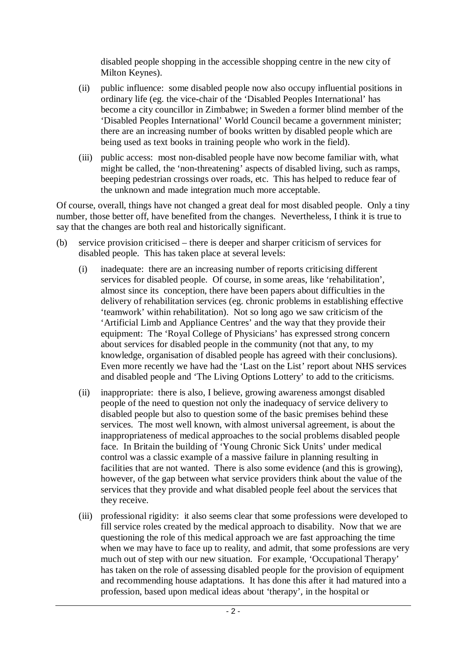disabled people shopping in the accessible shopping centre in the new city of Milton Keynes).

- (ii) public influence: some disabled people now also occupy influential positions in ordinary life (eg. the vice-chair of the 'Disabled Peoples International' has become a city councillor in Zimbabwe; in Sweden a former blind member of the 'Disabled Peoples International' World Council became a government minister; there are an increasing number of books written by disabled people which are being used as text books in training people who work in the field).
- (iii) public access: most non-disabled people have now become familiar with, what might be called, the 'non-threatening' aspects of disabled living, such as ramps, beeping pedestrian crossings over roads, etc. This has helped to reduce fear of the unknown and made integration much more acceptable.

Of course, overall, things have not changed a great deal for most disabled people. Only a tiny number, those better off, have benefited from the changes. Nevertheless, I think it is true to say that the changes are both real and historically significant.

- (b) service provision criticised there is deeper and sharper criticism of services for disabled people. This has taken place at several levels:
	- (i) inadequate: there are an increasing number of reports criticising different services for disabled people. Of course, in some areas, like 'rehabilitation', almost since its conception, there have been papers about difficulties in the delivery of rehabilitation services (eg. chronic problems in establishing effective 'teamwork' within rehabilitation). Not so long ago we saw criticism of the 'Artificial Limb and Appliance Centres' and the way that they provide their equipment: The 'Royal College of Physicians' has expressed strong concern about services for disabled people in the community (not that any, to my knowledge, organisation of disabled people has agreed with their conclusions). Even more recently we have had the 'Last on the List' report about NHS services and disabled people and 'The Living Options Lottery' to add to the criticisms.
	- (ii) inappropriate: there is also, I believe, growing awareness amongst disabled people of the need to question not only the inadequacy of service delivery to disabled people but also to question some of the basic premises behind these services. The most well known, with almost universal agreement, is about the inappropriateness of medical approaches to the social problems disabled people face. In Britain the building of 'Young Chronic Sick Units' under medical control was a classic example of a massive failure in planning resulting in facilities that are not wanted. There is also some evidence (and this is growing), however, of the gap between what service providers think about the value of the services that they provide and what disabled people feel about the services that they receive.
	- (iii) professional rigidity: it also seems clear that some professions were developed to fill service roles created by the medical approach to disability. Now that we are questioning the role of this medical approach we are fast approaching the time when we may have to face up to reality, and admit, that some professions are very much out of step with our new situation. For example, 'Occupational Therapy' has taken on the role of assessing disabled people for the provision of equipment and recommending house adaptations. It has done this after it had matured into a profession, based upon medical ideas about 'therapy', in the hospital or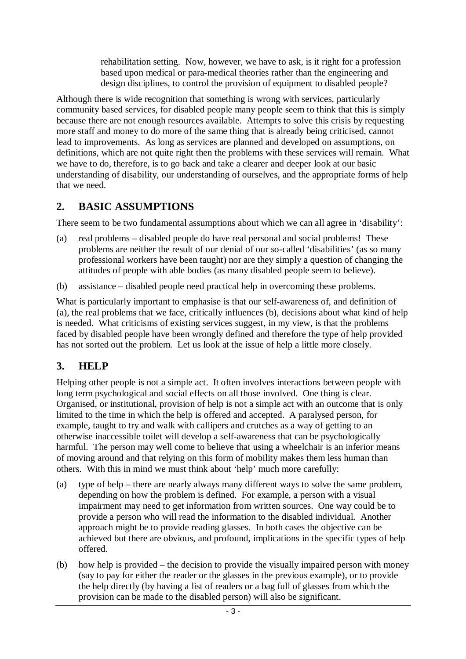rehabilitation setting. Now, however, we have to ask, is it right for a profession based upon medical or para-medical theories rather than the engineering and design disciplines, to control the provision of equipment to disabled people?

Although there is wide recognition that something is wrong with services, particularly community based services, for disabled people many people seem to think that this is simply because there are not enough resources available. Attempts to solve this crisis by requesting more staff and money to do more of the same thing that is already being criticised, cannot lead to improvements. As long as services are planned and developed on assumptions, on definitions, which are not quite right then the problems with these services will remain. What we have to do, therefore, is to go back and take a clearer and deeper look at our basic understanding of disability, our understanding of ourselves, and the appropriate forms of help that we need.

### **2. BASIC ASSUMPTIONS**

There seem to be two fundamental assumptions about which we can all agree in 'disability':

- (a) real problems disabled people do have real personal and social problems! These problems are neither the result of our denial of our so-called 'disabilities' (as so many professional workers have been taught) nor are they simply a question of changing the attitudes of people with able bodies (as many disabled people seem to believe).
- (b) assistance disabled people need practical help in overcoming these problems.

What is particularly important to emphasise is that our self-awareness of, and definition of (a), the real problems that we face, critically influences (b), decisions about what kind of help is needed. What criticisms of existing services suggest, in my view, is that the problems faced by disabled people have been wrongly defined and therefore the type of help provided has not sorted out the problem. Let us look at the issue of help a little more closely.

### **3. HELP**

Helping other people is not a simple act. It often involves interactions between people with long term psychological and social effects on all those involved. One thing is clear. Organised, or institutional, provision of help is not a simple act with an outcome that is only limited to the time in which the help is offered and accepted. A paralysed person, for example, taught to try and walk with callipers and crutches as a way of getting to an otherwise inaccessible toilet will develop a self-awareness that can be psychologically harmful. The person may well come to believe that using a wheelchair is an inferior means of moving around and that relying on this form of mobility makes them less human than others. With this in mind we must think about 'help' much more carefully:

- (a) type of help there are nearly always many different ways to solve the same problem, depending on how the problem is defined. For example, a person with a visual impairment may need to get information from written sources. One way could be to provide a person who will read the information to the disabled individual. Another approach might be to provide reading glasses. In both cases the objective can be achieved but there are obvious, and profound, implications in the specific types of help offered.
- (b) how help is provided the decision to provide the visually impaired person with money (say to pay for either the reader or the glasses in the previous example), or to provide the help directly (by having a list of readers or a bag full of glasses from which the provision can be made to the disabled person) will also be significant.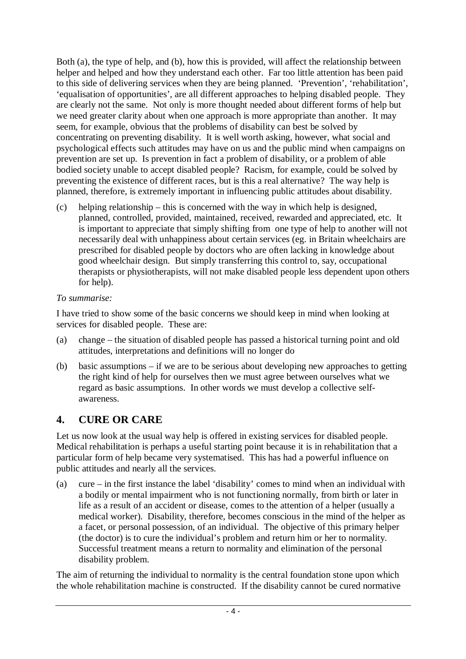Both (a), the type of help, and (b), how this is provided, will affect the relationship between helper and helped and how they understand each other. Far too little attention has been paid to this side of delivering services when they are being planned. 'Prevention', 'rehabilitation', 'equalisation of opportunities', are all different approaches to helping disabled people. They are clearly not the same. Not only is more thought needed about different forms of help but we need greater clarity about when one approach is more appropriate than another. It may seem, for example, obvious that the problems of disability can best be solved by concentrating on preventing disability. It is well worth asking, however, what social and psychological effects such attitudes may have on us and the public mind when campaigns on prevention are set up. Is prevention in fact a problem of disability, or a problem of able bodied society unable to accept disabled people? Racism, for example, could be solved by preventing the existence of different races, but is this a real alternative? The way help is planned, therefore, is extremely important in influencing public attitudes about disability.

(c) helping relationship – this is concerned with the way in which help is designed, planned, controlled, provided, maintained, received, rewarded and appreciated, etc. It is important to appreciate that simply shifting from one type of help to another will not necessarily deal with unhappiness about certain services (eg. in Britain wheelchairs are prescribed for disabled people by doctors who are often lacking in knowledge about good wheelchair design. But simply transferring this control to, say, occupational therapists or physiotherapists, will not make disabled people less dependent upon others for help).

#### *To summarise:*

I have tried to show some of the basic concerns we should keep in mind when looking at services for disabled people. These are:

- (a) change the situation of disabled people has passed a historical turning point and old attitudes, interpretations and definitions will no longer do
- (b) basic assumptions if we are to be serious about developing new approaches to getting the right kind of help for ourselves then we must agree between ourselves what we regard as basic assumptions. In other words we must develop a collective selfawareness.

# **4. CURE OR CARE**

Let us now look at the usual way help is offered in existing services for disabled people. Medical rehabilitation is perhaps a useful starting point because it is in rehabilitation that a particular form of help became very systematised. This has had a powerful influence on public attitudes and nearly all the services.

(a) cure – in the first instance the label 'disability' comes to mind when an individual with a bodily or mental impairment who is not functioning normally, from birth or later in life as a result of an accident or disease, comes to the attention of a helper (usually a medical worker). Disability, therefore, becomes conscious in the mind of the helper as a facet, or personal possession, of an individual. The objective of this primary helper (the doctor) is to cure the individual's problem and return him or her to normality. Successful treatment means a return to normality and elimination of the personal disability problem.

The aim of returning the individual to normality is the central foundation stone upon which the whole rehabilitation machine is constructed. If the disability cannot be cured normative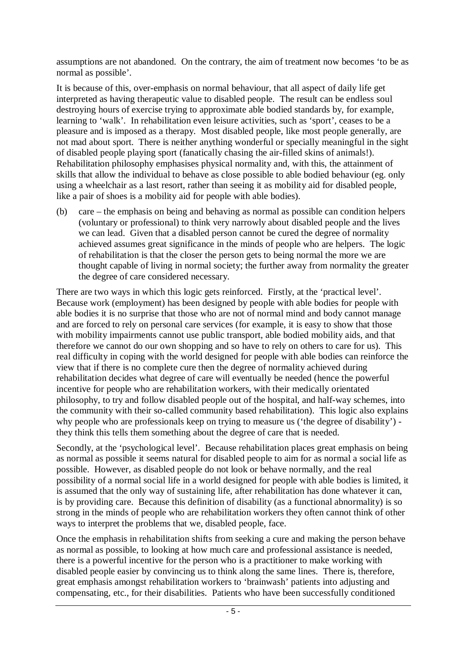assumptions are not abandoned. On the contrary, the aim of treatment now becomes 'to be as normal as possible'.

It is because of this, over-emphasis on normal behaviour, that all aspect of daily life get interpreted as having therapeutic value to disabled people. The result can be endless soul destroying hours of exercise trying to approximate able bodied standards by, for example, learning to 'walk'. In rehabilitation even leisure activities, such as 'sport', ceases to be a pleasure and is imposed as a therapy. Most disabled people, like most people generally, are not mad about sport. There is neither anything wonderful or specially meaningful in the sight of disabled people playing sport (fanatically chasing the air-filled skins of animals!). Rehabilitation philosophy emphasises physical normality and, with this, the attainment of skills that allow the individual to behave as close possible to able bodied behaviour (eg. only using a wheelchair as a last resort, rather than seeing it as mobility aid for disabled people, like a pair of shoes is a mobility aid for people with able bodies).

(b) care – the emphasis on being and behaving as normal as possible can condition helpers (voluntary or professional) to think very narrowly about disabled people and the lives we can lead. Given that a disabled person cannot be cured the degree of normality achieved assumes great significance in the minds of people who are helpers. The logic of rehabilitation is that the closer the person gets to being normal the more we are thought capable of living in normal society; the further away from normality the greater the degree of care considered necessary.

There are two ways in which this logic gets reinforced. Firstly, at the 'practical level'. Because work (employment) has been designed by people with able bodies for people with able bodies it is no surprise that those who are not of normal mind and body cannot manage and are forced to rely on personal care services (for example, it is easy to show that those with mobility impairments cannot use public transport, able bodied mobility aids, and that therefore we cannot do our own shopping and so have to rely on others to care for us). This real difficulty in coping with the world designed for people with able bodies can reinforce the view that if there is no complete cure then the degree of normality achieved during rehabilitation decides what degree of care will eventually be needed (hence the powerful incentive for people who are rehabilitation workers, with their medically orientated philosophy, to try and follow disabled people out of the hospital, and half-way schemes, into the community with their so-called community based rehabilitation). This logic also explains why people who are professionals keep on trying to measure us ('the degree of disability') they think this tells them something about the degree of care that is needed.

Secondly, at the 'psychological level'. Because rehabilitation places great emphasis on being as normal as possible it seems natural for disabled people to aim for as normal a social life as possible. However, as disabled people do not look or behave normally, and the real possibility of a normal social life in a world designed for people with able bodies is limited, it is assumed that the only way of sustaining life, after rehabilitation has done whatever it can, is by providing care. Because this definition of disability (as a functional abnormality) is so strong in the minds of people who are rehabilitation workers they often cannot think of other ways to interpret the problems that we, disabled people, face.

Once the emphasis in rehabilitation shifts from seeking a cure and making the person behave as normal as possible, to looking at how much care and professional assistance is needed, there is a powerful incentive for the person who is a practitioner to make working with disabled people easier by convincing us to think along the same lines. There is, therefore, great emphasis amongst rehabilitation workers to 'brainwash' patients into adjusting and compensating, etc., for their disabilities. Patients who have been successfully conditioned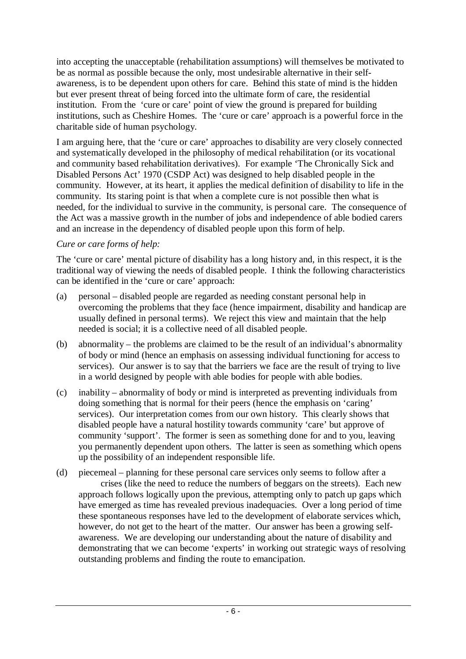into accepting the unacceptable (rehabilitation assumptions) will themselves be motivated to be as normal as possible because the only, most undesirable alternative in their selfawareness, is to be dependent upon others for care. Behind this state of mind is the hidden but ever present threat of being forced into the ultimate form of care, the residential institution. From the 'cure or care' point of view the ground is prepared for building institutions, such as Cheshire Homes. The 'cure or care' approach is a powerful force in the charitable side of human psychology.

I am arguing here, that the 'cure or care' approaches to disability are very closely connected and systematically developed in the philosophy of medical rehabilitation (or its vocational and community based rehabilitation derivatives). For example 'The Chronically Sick and Disabled Persons Act' 1970 (CSDP Act) was designed to help disabled people in the community. However, at its heart, it applies the medical definition of disability to life in the community. Its staring point is that when a complete cure is not possible then what is needed, for the individual to survive in the community, is personal care. The consequence of the Act was a massive growth in the number of jobs and independence of able bodied carers and an increase in the dependency of disabled people upon this form of help.

#### *Cure or care forms of help:*

The 'cure or care' mental picture of disability has a long history and, in this respect, it is the traditional way of viewing the needs of disabled people. I think the following characteristics can be identified in the 'cure or care' approach:

- (a) personal disabled people are regarded as needing constant personal help in overcoming the problems that they face (hence impairment, disability and handicap are usually defined in personal terms). We reject this view and maintain that the help needed is social; it is a collective need of all disabled people.
- (b) abnormality the problems are claimed to be the result of an individual's abnormality of body or mind (hence an emphasis on assessing individual functioning for access to services). Our answer is to say that the barriers we face are the result of trying to live in a world designed by people with able bodies for people with able bodies.
- (c) inability abnormality of body or mind is interpreted as preventing individuals from doing something that is normal for their peers (hence the emphasis on 'caring' services). Our interpretation comes from our own history. This clearly shows that disabled people have a natural hostility towards community 'care' but approve of community 'support'. The former is seen as something done for and to you, leaving you permanently dependent upon others. The latter is seen as something which opens up the possibility of an independent responsible life.
- (d) piecemeal planning for these personal care services only seems to follow after a crises (like the need to reduce the numbers of beggars on the streets). Each new approach follows logically upon the previous, attempting only to patch up gaps which have emerged as time has revealed previous inadequacies. Over a long period of time these spontaneous responses have led to the development of elaborate services which, however, do not get to the heart of the matter. Our answer has been a growing selfawareness. We are developing our understanding about the nature of disability and demonstrating that we can become 'experts' in working out strategic ways of resolving outstanding problems and finding the route to emancipation.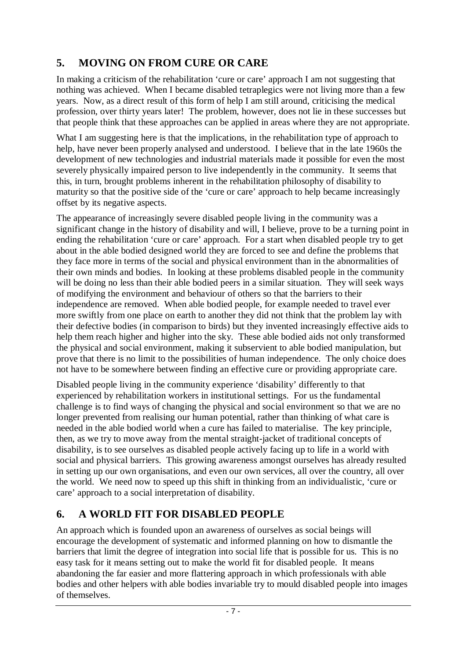## **5. MOVING ON FROM CURE OR CARE**

In making a criticism of the rehabilitation 'cure or care' approach I am not suggesting that nothing was achieved. When I became disabled tetraplegics were not living more than a few years. Now, as a direct result of this form of help I am still around, criticising the medical profession, over thirty years later! The problem, however, does not lie in these successes but that people think that these approaches can be applied in areas where they are not appropriate.

What I am suggesting here is that the implications, in the rehabilitation type of approach to help, have never been properly analysed and understood. I believe that in the late 1960s the development of new technologies and industrial materials made it possible for even the most severely physically impaired person to live independently in the community. It seems that this, in turn, brought problems inherent in the rehabilitation philosophy of disability to maturity so that the positive side of the 'cure or care' approach to help became increasingly offset by its negative aspects.

The appearance of increasingly severe disabled people living in the community was a significant change in the history of disability and will, I believe, prove to be a turning point in ending the rehabilitation 'cure or care' approach. For a start when disabled people try to get about in the able bodied designed world they are forced to see and define the problems that they face more in terms of the social and physical environment than in the abnormalities of their own minds and bodies. In looking at these problems disabled people in the community will be doing no less than their able bodied peers in a similar situation. They will seek ways of modifying the environment and behaviour of others so that the barriers to their independence are removed. When able bodied people, for example needed to travel ever more swiftly from one place on earth to another they did not think that the problem lay with their defective bodies (in comparison to birds) but they invented increasingly effective aids to help them reach higher and higher into the sky. These able bodied aids not only transformed the physical and social environment, making it subservient to able bodied manipulation, but prove that there is no limit to the possibilities of human independence. The only choice does not have to be somewhere between finding an effective cure or providing appropriate care.

Disabled people living in the community experience 'disability' differently to that experienced by rehabilitation workers in institutional settings. For us the fundamental challenge is to find ways of changing the physical and social environment so that we are no longer prevented from realising our human potential, rather than thinking of what care is needed in the able bodied world when a cure has failed to materialise. The key principle, then, as we try to move away from the mental straight-jacket of traditional concepts of disability, is to see ourselves as disabled people actively facing up to life in a world with social and physical barriers. This growing awareness amongst ourselves has already resulted in setting up our own organisations, and even our own services, all over the country, all over the world. We need now to speed up this shift in thinking from an individualistic, 'cure or care' approach to a social interpretation of disability.

### **6. A WORLD FIT FOR DISABLED PEOPLE**

An approach which is founded upon an awareness of ourselves as social beings will encourage the development of systematic and informed planning on how to dismantle the barriers that limit the degree of integration into social life that is possible for us. This is no easy task for it means setting out to make the world fit for disabled people. It means abandoning the far easier and more flattering approach in which professionals with able bodies and other helpers with able bodies invariable try to mould disabled people into images of themselves.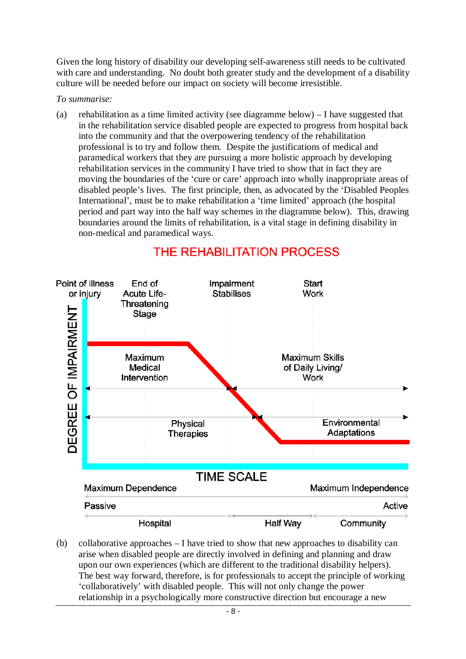Given the long history of disability our developing self-awareness still needs to be cultivated with care and understanding. No doubt both greater study and the development of a disability culture will be needed before our impact on society will become irresistible.

*To summarise:* 

(a) rehabilitation as a time limited activity (see diagramme below) – I have suggested that in the rehabilitation service disabled people are expected to progress from hospital back into the community and that the overpowering tendency of the rehabilitation professional is to try and follow them. Despite the justifications of medical and paramedical workers that they are pursuing a more holistic approach by developing rehabilitation services in the community I have tried to show that in fact they are moving the boundaries of the 'cure or care' approach into wholly inappropriate areas of disabled people's lives. The first principle, then, as advocated by the 'Disabled Peoples International', must be to make rehabilitation a 'time limited' approach (the hospital period and part way into the half way schemes in the diagramme below). This, drawing boundaries around the limits of rehabilitation, is a vital stage in defining disability in non-medical and paramedical ways.



# THE REHABILITATION PROCESS

(b) collaborative approaches  $- I$  have tried to show that new approaches to disability can arise when disabled people are directly involved in defining and planning and draw upon our own experiences (which are different to the traditional disability helpers). The best way forward, therefore, is for professionals to accept the principle of working 'collaboratively' with disabled people. This will not only change the power relationship in a psychologically more constructive direction but encourage a new